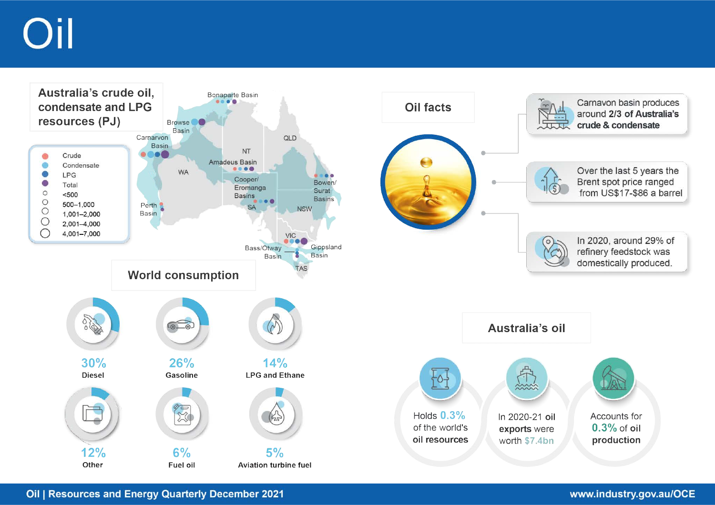# Dil

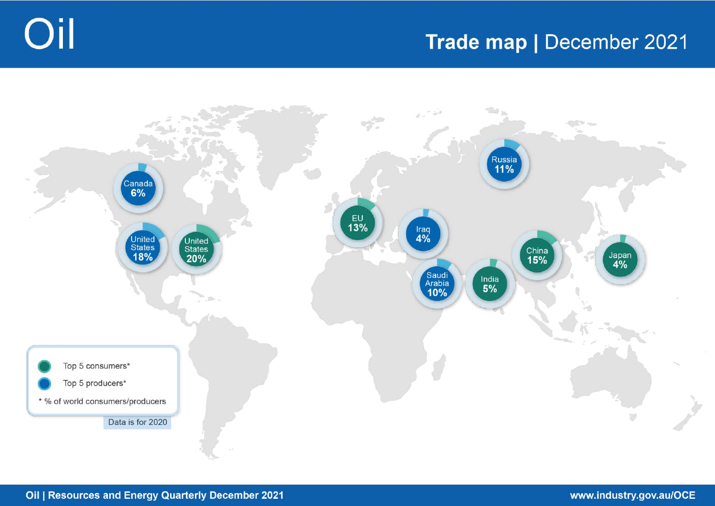



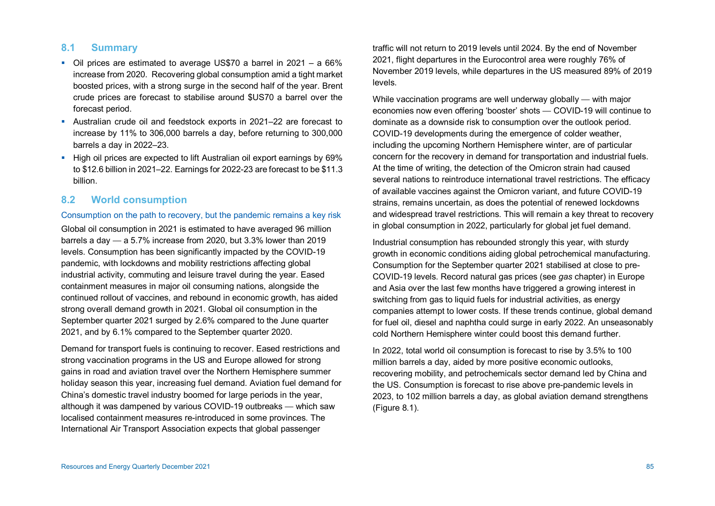## **8.1 Summary**

- Oil prices are estimated to average US\$70 a barrel in 2021 a 66% increase from 2020. Recovering global consumption amid a tight market boosted prices, with a strong surge in the second half of the year. Brent crude prices are forecast to stabilise around \$US70 a barrel over the forecast period.
- Australian crude oil and feedstock exports in 2021–22 are forecast to increase by 11% to 306,000 barrels a day, before returning to 300,000 barrels a day in 2022–23.
- **High oil prices are expected to lift Australian oil export earnings by 69%** to \$12.6 billion in 2021–22. Earnings for 2022-23 are forecast to be \$11.3 billion.

## **8.2 World consumption**

#### Consumption on the path to recovery, but the pandemic remains a key risk

Global oil consumption in 2021 is estimated to have averaged 96 million barrels a day — a 5.7% increase from 2020, but 3.3% lower than 2019 levels. Consumption has been significantly impacted by the COVID-19 pandemic, with lockdowns and mobility restrictions affecting global industrial activity, commuting and leisure travel during the year. Eased containment measures in major oil consuming nations, alongside the continued rollout of vaccines, and rebound in economic growth, has aided strong overall demand growth in 2021. Global oil consumption in the September quarter 2021 surged by 2.6% compared to the June quarter 2021, and by 6.1% compared to the September quarter 2020.

Demand for transport fuels is continuing to recover. Eased restrictions and strong vaccination programs in the US and Europe allowed for strong gains in road and aviation travel over the Northern Hemisphere summer holiday season this year, increasing fuel demand. Aviation fuel demand for China's domestic travel industry boomed for large periods in the year, although it was dampened by various COVID-19 outbreaks — which saw localised containment measures re-introduced in some provinces. The International Air Transport Association expects that global passenger

traffic will not return to 2019 levels until 2024. By the end of November 2021, flight departures in the Eurocontrol area were roughly 76% of November 2019 levels, while departures in the US measured 89% of 2019 levels.

While vaccination programs are well underway globally — with major economies now even offering 'booster' shots — COVID-19 will continue to dominate as a downside risk to consumption over the outlook period. COVID-19 developments during the emergence of colder weather, including the upcoming Northern Hemisphere winter, are of particular concern for the recovery in demand for transportation and industrial fuels. At the time of writing, the detection of the Omicron strain had caused several nations to reintroduce international travel restrictions. The efficacy of available vaccines against the Omicron variant, and future COVID-19 strains, remains uncertain, as does the potential of renewed lockdowns and widespread travel restrictions. This will remain a key threat to recovery in global consumption in 2022, particularly for global jet fuel demand.

Industrial consumption has rebounded strongly this year, with sturdy growth in economic conditions aiding global petrochemical manufacturing. Consumption for the September quarter 2021 stabilised at close to pre-COVID-19 levels. Record natural gas prices (see *gas* chapter) in Europe and Asia over the last few months have triggered a growing interest in switching from gas to liquid fuels for industrial activities, as energy companies attempt to lower costs. If these trends continue, global demand for fuel oil, diesel and naphtha could surge in early 2022. An unseasonably cold Northern Hemisphere winter could boost this demand further.

In 2022, total world oil consumption is forecast to rise by 3.5% to 100 million barrels a day, aided by more positive economic outlooks, recovering mobility, and petrochemicals sector demand led by China and the US. Consumption is forecast to rise above pre-pandemic levels in 2023, to 102 million barrels a day, as global aviation demand strengthens (Figure 8.1).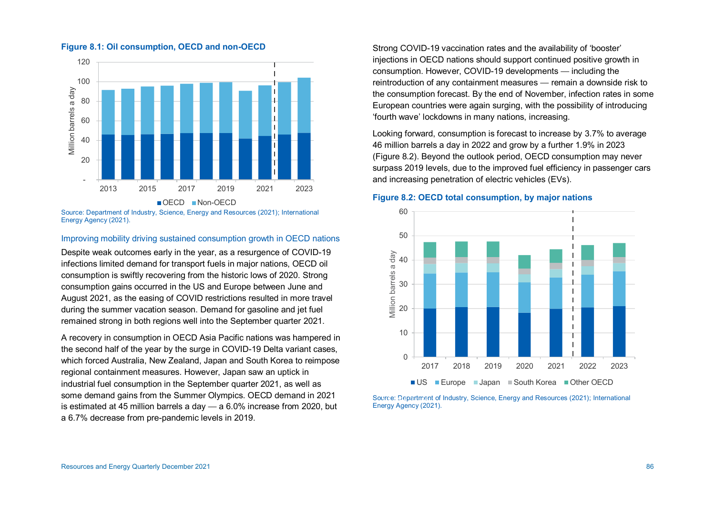

#### **Figure 8.1: Oil consumption, OECD and non-OECD**

Source: Department of Industry, Science, Energy and Resources (2021); International Energy Agency (2021).

#### Improving mobility driving sustained consumption growth in OECD nations

Despite weak outcomes early in the year, as a resurgence of COVID-19 infections limited demand for transport fuels in major nations, OECD oil consumption is swiftly recovering from the historic lows of 2020. Strong consumption gains occurred in the US and Europe between June and August 2021, as the easing of COVID restrictions resulted in more travel during the summer vacation season. Demand for gasoline and jet fuel remained strong in both regions well into the September quarter 2021.

A recovery in consumption in OECD Asia Pacific nations was hampered in the second half of the year by the surge in COVID-19 Delta variant cases, which forced Australia, New Zealand, Japan and South Korea to reimpose regional containment measures. However, Japan saw an uptick in industrial fuel consumption in the September quarter 2021, as well as some demand gains from the Summer Olympics. OECD demand in 2021 is estimated at 45 million barrels a day — a 6.0% increase from 2020, but a 6.7% decrease from pre-pandemic levels in 2019.

Strong COVID-19 vaccination rates and the availability of 'booster' injections in OECD nations should support continued positive growth in consumption. However, COVID-19 developments — including the reintroduction of any containment measures — remain a downside risk to the consumption forecast. By the end of November, infection rates in some European countries were again surging, with the possibility of introducing 'fourth wave' lockdowns in many nations, increasing.

Looking forward, consumption is forecast to increase by 3.7% to average 46 million barrels a day in 2022 and grow by a further 1.9% in 2023 (Figure 8.2). Beyond the outlook period, OECD consumption may never surpass 2019 levels, due to the improved fuel efficiency in passenger cars and increasing penetration of electric vehicles (EVs).

#### **Figure 8.2: OECD total consumption, by major nations**



Source: Department of Industry, Science, Energy and Resources (2021); International Energy Agency (2021).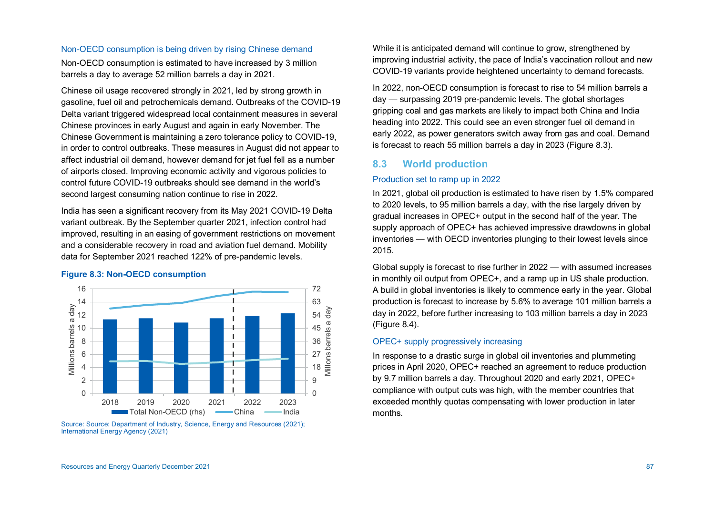#### Non-OECD consumption is being driven by rising Chinese demand

Non-OECD consumption is estimated to have increased by 3 million barrels a day to average 52 million barrels a day in 2021.

Chinese oil usage recovered strongly in 2021, led by strong growth in gasoline, fuel oil and petrochemicals demand. Outbreaks of the COVID-19 Delta variant triggered widespread local containment measures in several Chinese provinces in early August and again in early November. The Chinese Government is maintaining a zero tolerance policy to COVID-19, in order to control outbreaks. These measures in August did not appear to affect industrial oil demand, however demand for jet fuel fell as a number of airports closed. Improving economic activity and vigorous policies to control future COVID-19 outbreaks should see demand in the world's second largest consuming nation continue to rise in 2022.

India has seen a significant recovery from its May 2021 COVID-19 Delta variant outbreak. By the September quarter 2021, infection control had improved, resulting in an easing of government restrictions on movement and a considerable recovery in road and aviation fuel demand. Mobility data for September 2021 reached 122% of pre-pandemic levels.

#### **Figure 8.3: Non-OECD consumption**



Source: Source: Department of Industry, Science, Energy and Resources (2021); International Energy Agency (2021)

While it is anticipated demand will continue to grow, strengthened by improving industrial activity, the pace of India's vaccination rollout and new COVID-19 variants provide heightened uncertainty to demand forecasts.

In 2022, non-OECD consumption is forecast to rise to 54 million barrels a day — surpassing 2019 pre-pandemic levels. The global shortages gripping coal and gas markets are likely to impact both China and India heading into 2022. This could see an even stronger fuel oil demand in early 2022, as power generators switch away from gas and coal. Demand is forecast to reach 55 million barrels a day in 2023 (Figure 8.3).

## **8.3 World production**

#### Production set to ramp up in 2022

In 2021, global oil production is estimated to have risen by 1.5% compared to 2020 levels, to 95 million barrels a day, with the rise largely driven by gradual increases in OPEC+ output in the second half of the year. The supply approach of OPEC+ has achieved impressive drawdowns in global inventories — with OECD inventories plunging to their lowest levels since 2015.

Global supply is forecast to rise further in 2022 — with assumed increases in monthly oil output from OPEC+, and a ramp up in US shale production. A build in global inventories is likely to commence early in the year. Global production is forecast to increase by 5.6% to average 101 million barrels a day in 2022, before further increasing to 103 million barrels a day in 2023 (Figure 8.4).

## OPEC+ supply progressively increasing

In response to a drastic surge in global oil inventories and plummeting prices in April 2020, OPEC+ reached an agreement to reduce production by 9.7 million barrels a day. Throughout 2020 and early 2021, OPEC+ compliance with output cuts was high, with the member countries that exceeded monthly quotas compensating with lower production in later months.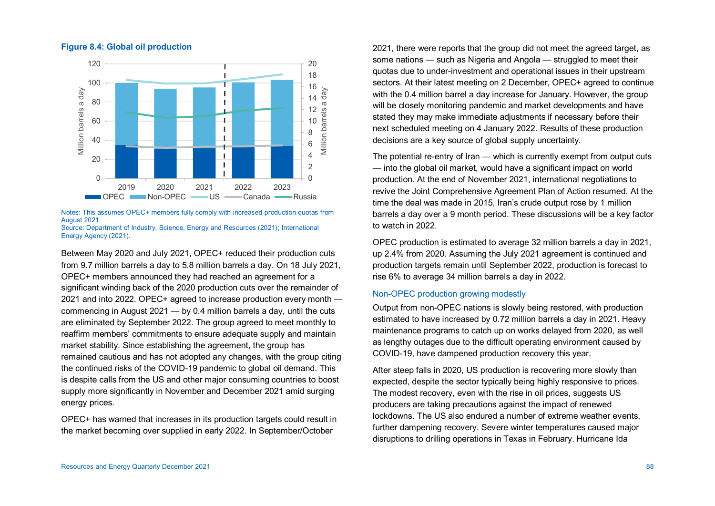#### **Figure 8.4: Global oil production**



Notes: This assumes OPEC+ members fully comply with increased production quotas from August 2021.

Source: Department of Industry, Science, Energy and Resources (2021); International Energy Agency (2021).

Between May 2020 and July 2021, OPEC+ reduced their production cuts from 9.7 million barrels a day to 5.8 million barrels a day. On 18 July 2021, OPEC+ members announced they had reached an agreement for a significant winding back of the 2020 production cuts over the remainder of 2021 and into 2022. OPEC+ agreed to increase production every month commencing in August 2021 — by 0.4 million barrels a day, until the cuts are eliminated by September 2022. The group agreed to meet monthly to reaffirm members' commitments to ensure adequate supply and maintain market stability. Since establishing the agreement, the group has remained cautious and has not adopted any changes, with the group citing the continued risks of the COVID-19 pandemic to global oil demand. This is despite calls from the US and other major consuming countries to boost supply more significantly in November and December 2021 amid surging energy prices.

OPEC+ has warned that increases in its production targets could result in the market becoming over supplied in early 2022. In September/October

2021, there were reports that the group did not meet the agreed target, as some nations — such as Nigeria and Angola — struggled to meet their quotas due to under-investment and operational issues in their upstream sectors. At their latest meeting on 2 December, OPEC+ agreed to continue with the 0.4 million barrel a day increase for January. However, the group will be closely monitoring pandemic and market developments and have stated they may make immediate adjustments if necessary before their next scheduled meeting on 4 January 2022. Results of these production decisions are a key source of global supply uncertainty.

The potential re-entry of Iran — which is currently exempt from output cuts — into the global oil market, would have a significant impact on world production. At the end of November 2021, international negotiations to revive the Joint Comprehensive Agreement Plan of Action resumed. At the time the deal was made in 2015, Iran's crude output rose by 1 million barrels a day over a 9 month period. These discussions will be a key factor to watch in 2022.

OPEC production is estimated to average 32 million barrels a day in 2021, up 2.4% from 2020. Assuming the July 2021 agreement is continued and production targets remain until September 2022, production is forecast to rise 6% to average 34 million barrels a day in 2022.

#### Non-OPEC production growing modestly

Output from non-OPEC nations is slowly being restored, with production estimated to have increased by 0.72 million barrels a day in 2021. Heavy maintenance programs to catch up on works delayed from 2020, as well as lengthy outages due to the difficult operating environment caused by COVID-19, have dampened production recovery this year.

After steep falls in 2020, US production is recovering more slowly than expected, despite the sector typically being highly responsive to prices. The modest recovery, even with the rise in oil prices, suggests US producers are taking precautions against the impact of renewed lockdowns. The US also endured a number of extreme weather events, further dampening recovery. Severe winter temperatures caused major disruptions to drilling operations in Texas in February. Hurricane Ida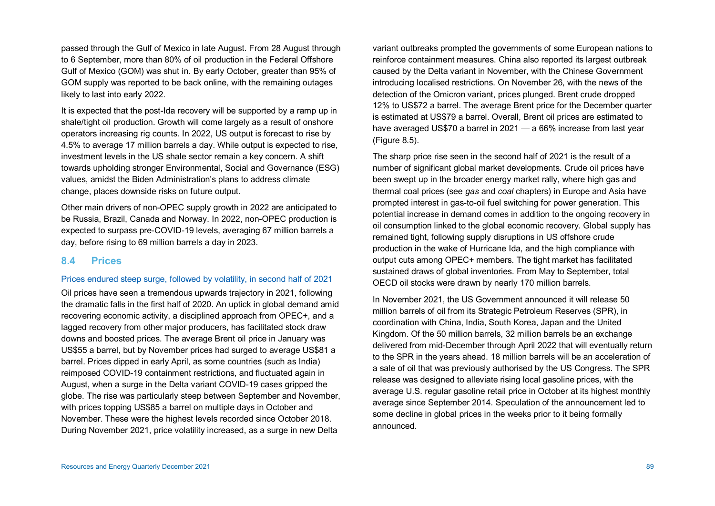passed through the Gulf of Mexico in late August. From 28 August through to 6 September, more than 80% of oil production in the Federal Offshore Gulf of Mexico (GOM) was shut in. By early October, greater than 95% of GOM supply was reported to be back online, with the remaining outages likely to last into early 2022.

It is expected that the post-Ida recovery will be supported by a ramp up in shale/tight oil production. Growth will come largely as a result of onshore operators increasing rig counts. In 2022, US output is forecast to rise by 4.5% to average 17 million barrels a day. While output is expected to rise, investment levels in the US shale sector remain a key concern. A shift towards upholding stronger Environmental, Social and Governance (ESG) values, amidst the Biden Administration's plans to address climate change, places downside risks on future output.

Other main drivers of non-OPEC supply growth in 2022 are anticipated to be Russia, Brazil, Canada and Norway. In 2022, non-OPEC production is expected to surpass pre-COVID-19 levels, averaging 67 million barrels a day, before rising to 69 million barrels a day in 2023.

#### **8.4 Prices**

#### Prices endured steep surge, followed by volatility, in second half of 2021

Oil prices have seen a tremendous upwards trajectory in 2021, following the dramatic falls in the first half of 2020. An uptick in global demand amid recovering economic activity, a disciplined approach from OPEC+, and a lagged recovery from other major producers, has facilitated stock draw downs and boosted prices. The average Brent oil price in January was US\$55 a barrel, but by November prices had surged to average US\$81 a barrel. Prices dipped in early April, as some countries (such as India) reimposed COVID-19 containment restrictions, and fluctuated again in August, when a surge in the Delta variant COVID-19 cases gripped the globe. The rise was particularly steep between September and November, with prices topping US\$85 a barrel on multiple days in October and November. These were the highest levels recorded since October 2018. During November 2021, price volatility increased, as a surge in new Delta

variant outbreaks prompted the governments of some European nations to reinforce containment measures. China also reported its largest outbreak caused by the Delta variant in November, with the Chinese Government introducing localised restrictions. On November 26, with the news of the detection of the Omicron variant, prices plunged. Brent crude dropped 12% to US\$72 a barrel. The average Brent price for the December quarter is estimated at US\$79 a barrel. Overall, Brent oil prices are estimated to have averaged US\$70 a barrel in 2021 — a 66% increase from last year (Figure 8.5).

The sharp price rise seen in the second half of 2021 is the result of a number of significant global market developments. Crude oil prices have been swept up in the broader energy market rally, where high gas and thermal coal prices (see *gas* and *coal* chapters) in Europe and Asia have prompted interest in gas-to-oil fuel switching for power generation. This potential increase in demand comes in addition to the ongoing recovery in oil consumption linked to the global economic recovery. Global supply has remained tight, following supply disruptions in US offshore crude production in the wake of Hurricane Ida, and the high compliance with output cuts among OPEC+ members. The tight market has facilitated sustained draws of global inventories. From May to September, total OECD oil stocks were drawn by nearly 170 million barrels.

In November 2021, the US Government announced it will release 50 million barrels of oil from its Strategic Petroleum Reserves (SPR), in coordination with China, India, South Korea, Japan and the United Kingdom. Of the 50 million barrels, 32 million barrels be an exchange delivered from mid-December through April 2022 that will eventually return to the SPR in the years ahead. 18 million barrels will be an acceleration of a sale of oil that was previously authorised by the US Congress. The SPR release was designed to alleviate rising local gasoline prices, with the average U.S. regular gasoline retail price in October at its highest monthly average since September 2014. Speculation of the announcement led to some decline in global prices in the weeks prior to it being formally announced.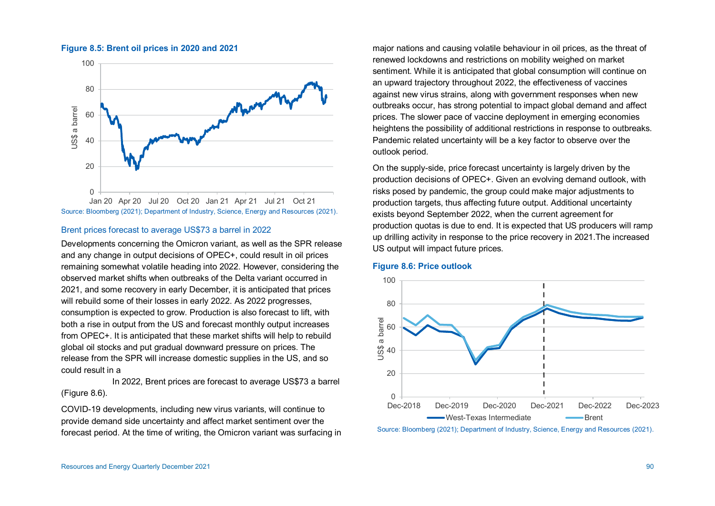

#### **Figure 8.5: Brent oil prices in 2020 and 2021**

Source: Bloomberg (2021); Department of Industry, Science, Energy and Resources (2021).

## Brent prices forecast to average US\$73 a barrel in 2022

Developments concerning the Omicron variant, as well as the SPR release and any change in output decisions of OPEC+, could result in oil prices remaining somewhat volatile heading into 2022. However, considering the observed market shifts when outbreaks of the Delta variant occurred in 2021, and some recovery in early December, it is anticipated that prices will rebuild some of their losses in early 2022. As 2022 progresses, consumption is expected to grow. Production is also forecast to lift, with both a rise in output from the US and forecast monthly output increases from OPEC+. It is anticipated that these market shifts will help to rebuild global oil stocks and put gradual downward pressure on prices. The release from the SPR will increase domestic supplies in the US, and so could result in a

In 2022, Brent prices are forecast to average US\$73 a barrel (Figure 8.6).

COVID-19 developments, including new virus variants, will continue to provide demand side uncertainty and affect market sentiment over the forecast period. At the time of writing, the Omicron variant was surfacing in

major nations and causing volatile behaviour in oil prices, as the threat of renewed lockdowns and restrictions on mobility weighed on market sentiment. While it is anticipated that global consumption will continue on an upward trajectory throughout 2022, the effectiveness of vaccines against new virus strains, along with government responses when new outbreaks occur, has strong potential to impact global demand and affect prices. The slower pace of vaccine deployment in emerging economies heightens the possibility of additional restrictions in response to outbreaks. Pandemic related uncertainty will be a key factor to observe over the outlook period.

On the supply-side, price forecast uncertainty is largely driven by the production decisions of OPEC+. Given an evolving demand outlook, with risks posed by pandemic, the group could make major adjustments to production targets, thus affecting future output. Additional uncertainty exists beyond September 2022, when the current agreement for production quotas is due to end. It is expected that US producers will ramp up drilling activity in response to the price recovery in 2021.The increased US output will impact future prices.

#### **Figure 8.6: Price outlook**



Source: Bloomberg (2021); Department of Industry, Science, Energy and Resources (2021).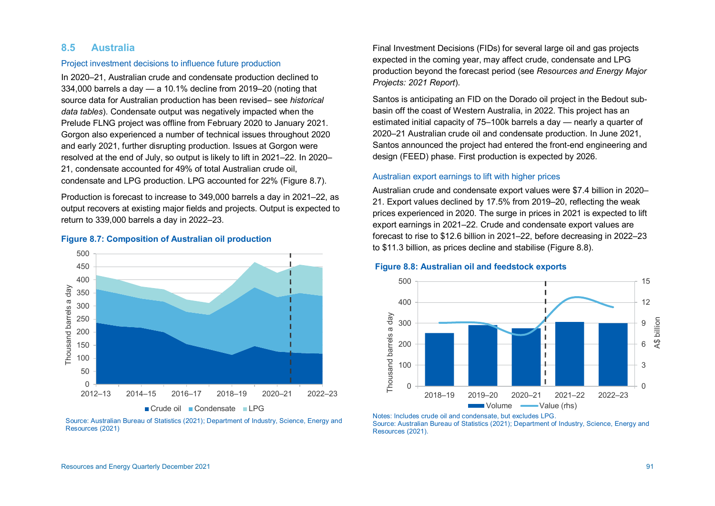### **8.5 Australia**

#### Project investment decisions to influence future production

In 2020–21, Australian crude and condensate production declined to 334,000 barrels a day — a 10.1% decline from 2019–20 (noting that source data for Australian production has been revised– see *historical data tables*). Condensate output was negatively impacted when the Prelude FLNG project was offline from February 2020 to January 2021. Gorgon also experienced a number of technical issues throughout 2020 and early 2021, further disrupting production. Issues at Gorgon were resolved at the end of July, so output is likely to lift in 2021–22. In 2020– 21, condensate accounted for 49% of total Australian crude oil, condensate and LPG production. LPG accounted for 22% (Figure 8.7).

Production is forecast to increase to 349,000 barrels a day in 2021–22, as output recovers at existing major fields and projects. Output is expected to return to 339,000 barrels a day in 2022–23.

#### **Figure 8.7: Composition of Australian oil production**



Source: Australian Bureau of Statistics (2021); Department of Industry, Science, Energy and Resources (2021)

Final Investment Decisions (FIDs) for several large oil and gas projects expected in the coming year, may affect crude, condensate and LPG production beyond the forecast period (see *Resources and Energy Major Projects: 2021 Report*).

Santos is anticipating an FID on the Dorado oil project in the Bedout subbasin off the coast of Western Australia, in 2022. This project has an estimated initial capacity of 75–100k barrels a day — nearly a quarter of 2020–21 Australian crude oil and condensate production. In June 2021, Santos announced the project had entered the front-end engineering and design (FEED) phase. First production is expected by 2026.

#### Australian export earnings to lift with higher prices

Australian crude and condensate export values were \$7.4 billion in 2020– 21. Export values declined by 17.5% from 2019–20, reflecting the weak prices experienced in 2020. The surge in prices in 2021 is expected to lift export earnings in 2021–22. Crude and condensate export values are forecast to rise to \$12.6 billion in 2021–22, before decreasing in 2022–23 to \$11.3 billion, as prices decline and stabilise (Figure 8.8).

#### **Figure 8.8: Australian oil and feedstock exports**



Notes: Includes crude oil and condensate, but excludes LPG. Source: Australian Bureau of Statistics (2021); Department of Industry, Science, Energy and Resources (2021).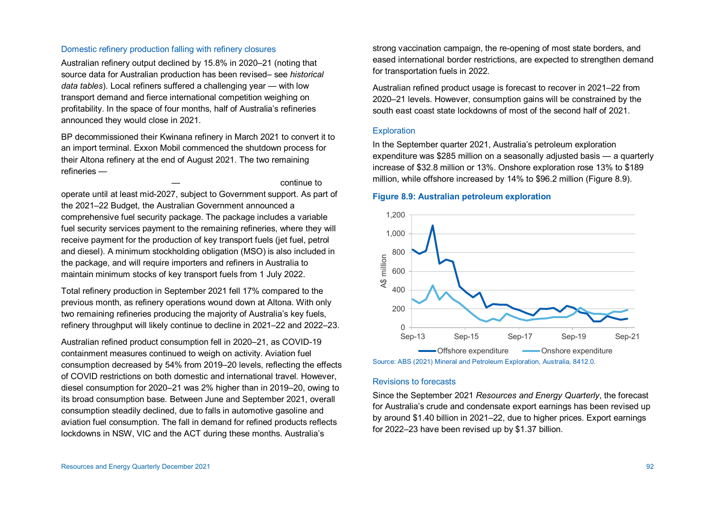#### Domestic refinery production falling with refinery closures

Australian refinery output declined by 15.8% in 2020–21 (noting that source data for Australian production has been revised– see *historical data tables*). Local refiners suffered a challenging year — with low transport demand and fierce international competition weighing on profitability. In the space of four months, half of Australia's refineries announced they would close in 2021.

BP decommissioned their Kwinana refinery in March 2021 to convert it to an import terminal. Exxon Mobil commenced the shutdown process for their Altona refinery at the end of August 2021. The two remaining refineries  $-$ 

operate until at least mid-2027, subject to Government support. As part of the 2021–22 Budget, the Australian Government announced a comprehensive fuel security package. The package includes a variable fuel security services payment to the remaining refineries, where they will receive payment for the production of key transport fuels (jet fuel, petrol and diesel). A minimum stockholding obligation (MSO) is also included in the package, and will require importers and refiners in Australia to maintain minimum stocks of key transport fuels from 1 July 2022.

Total refinery production in September 2021 fell 17% compared to the previous month, as refinery operations wound down at Altona. With only two remaining refineries producing the majority of Australia's key fuels, refinery throughput will likely continue to decline in 2021–22 and 2022–23.

Australian refined product consumption fell in 2020–21, as COVID-19 containment measures continued to weigh on activity. Aviation fuel consumption decreased by 54% from 2019–20 levels, reflecting the effects of COVID restrictions on both domestic and international travel. However, diesel consumption for 2020–21 was 2% higher than in 2019–20, owing to its broad consumption base. Between June and September 2021, overall consumption steadily declined, due to falls in automotive gasoline and aviation fuel consumption. The fall in demand for refined products reflects lockdowns in NSW, VIC and the ACT during these months. Australia's

strong vaccination campaign, the re-opening of most state borders, and eased international border restrictions, are expected to strengthen demand for transportation fuels in 2022.

Australian refined product usage is forecast to recover in 2021–22 from 2020–21 levels. However, consumption gains will be constrained by the south east coast state lockdowns of most of the second half of 2021.

#### **Exploration**

continue to

In the September quarter 2021, Australia's petroleum exploration expenditure was \$285 million on a seasonally adjusted basis — a quarterly increase of \$32.8 million or 13%. Onshore exploration rose 13% to \$189 million, while offshore increased by 14% to \$96.2 million (Figure 8.9).

#### **Figure 8.9: Australian petroleum exploration**



Source: ABS (2021) Mineral and Petroleum Exploration, Australia, 8412.0.

#### Revisions to forecasts

Since the September 2021 *Resources and Energy Quarterly*, the forecast for Australia's crude and condensate export earnings has been revised up by around \$1.40 billion in 2021–22, due to higher prices. Export earnings for 2022–23 have been revised up by \$1.37 billion.